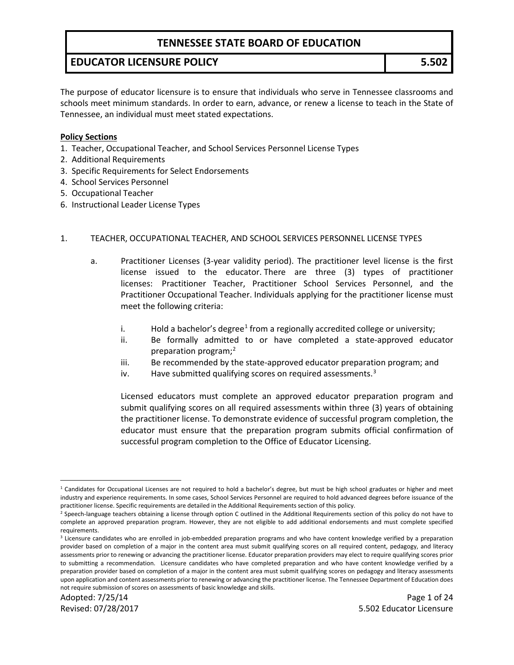#### **EDUCATOR LICENSURE POLICY 5.502**

The purpose of educator licensure is to ensure that individuals who serve in Tennessee classrooms and schools meet minimum standards. In order to earn, advance, or renew a license to teach in the State of Tennessee, an individual must meet stated expectations.

#### **Policy Sections**

- 1. Teacher, Occupational Teacher, and School Services Personnel License Types
- 2. Additional Requirements
- 3. Specific Requirements for Select Endorsements
- 4. School Services Personnel
- 5. Occupational Teacher
- 6. Instructional Leader License Types

#### 1. TEACHER, OCCUPATIONAL TEACHER, AND SCHOOL SERVICES PERSONNEL LICENSE TYPES

- a. Practitioner Licenses (3-year validity period). The practitioner level license is the first license issued to the educator. There are three (3) types of practitioner licenses: Practitioner Teacher, Practitioner School Services Personnel, and the Practitioner Occupational Teacher. Individuals applying for the practitioner license must meet the following criteria:
	- i. Hold a bachelor's degree<sup>[1](#page-0-0)</sup> from a regionally accredited college or university;
	- ii. Be formally admitted to or have completed a state-approved educator preparation program;<sup>2</sup>
	- iii. Be recommended by the state-approved educator preparation program; and
	- iv. Have submitted qualifying scores on required assessments.<sup>[3](#page-0-2)</sup>

Licensed educators must complete an approved educator preparation program and submit qualifying scores on all required assessments within three (3) years of obtaining the practitioner license. To demonstrate evidence of successful program completion, the educator must ensure that the preparation program submits official confirmation of successful program completion to the Office of Educator Licensing.

<span id="page-0-0"></span> $\overline{a}$ <sup>1</sup> Candidates for Occupational Licenses are not required to hold a bachelor's degree, but must be high school graduates or higher and meet industry and experience requirements. In some cases, School Services Personnel are required to hold advanced degrees before issuance of the practitioner license. Specific requirements are detailed in the Additional Requirements section of this policy.

<span id="page-0-1"></span><sup>&</sup>lt;sup>2</sup> Speech-language teachers obtaining a license through option C outlined in the Additional Requirements section of this policy do not have to complete an approved preparation program. However, they are not eligible to add additional endorsements and must complete specified requirements.

<span id="page-0-2"></span><sup>&</sup>lt;sup>3</sup> Licensure candidates who are enrolled in job-embedded preparation programs and who have content knowledge verified by a preparation provider based on completion of a major in the content area must submit qualifying scores on all required content, pedagogy, and literacy assessments prior to renewing or advancing the practitioner license. Educator preparation providers may elect to require qualifying scores prior to submitting a recommendation. Licensure candidates who have completed preparation and who have content knowledge verified by a preparation provider based on completion of a major in the content area must submit qualifying scores on pedagogy and literacy assessments upon application and content assessments prior to renewing or advancing the practitioner license. The Tennessee Department of Education does not require submission of scores on assessments of basic knowledge and skills.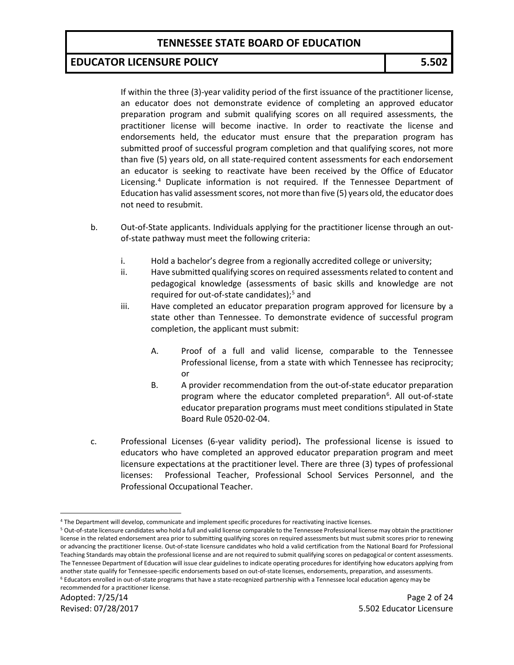#### **EDUCATOR LICENSURE POLICY 5.502**

If within the three (3)-year validity period of the first issuance of the practitioner license, an educator does not demonstrate evidence of completing an approved educator preparation program and submit qualifying scores on all required assessments, the practitioner license will become inactive. In order to reactivate the license and endorsements held, the educator must ensure that the preparation program has submitted proof of successful program completion and that qualifying scores, not more than five (5) years old, on all state-required content assessments for each endorsement an educator is seeking to reactivate have been received by the Office of Educator Licensing.[4](#page-1-0) Duplicate information is not required. If the Tennessee Department of Education has valid assessment scores, not more than five (5) years old, the educator does not need to resubmit.

- b. Out-of-State applicants. Individuals applying for the practitioner license through an outof-state pathway must meet the following criteria:
	- i. Hold a bachelor's degree from a regionally accredited college or university;
	- ii. Have submitted qualifying scores on required assessments related to content and pedagogical knowledge (assessments of basic skills and knowledge are not required for out-of-state candidates);<sup>[5](#page-1-1)</sup> and
	- iii. Have completed an educator preparation program approved for licensure by a state other than Tennessee. To demonstrate evidence of successful program completion, the applicant must submit:
		- A. Proof of a full and valid license, comparable to the Tennessee Professional license, from a state with which Tennessee has reciprocity; or
		- B. A provider recommendation from the out-of-state educator preparation program where the educator completed preparation<sup>6</sup>. All out-of-state educator preparation programs must meet conditions stipulated in State Board Rule 0520-02-04.
- c. Professional Licenses (6-year validity period)**.** The professional license is issued to educators who have completed an approved educator preparation program and meet licensure expectations at the practitioner level. There are three (3) types of professional licenses: Professional Teacher, Professional School Services Personnel, and the Professional Occupational Teacher.

 $\overline{a}$ <sup>4</sup> The Department will develop, communicate and implement specific procedures for reactivating inactive licenses.

<span id="page-1-2"></span><span id="page-1-1"></span><span id="page-1-0"></span><sup>5</sup> Out-of-state licensure candidates who hold a full and valid license comparable to the Tennessee Professional license may obtain the practitioner license in the related endorsement area prior to submitting qualifying scores on required assessments but must submit scores prior to renewing or advancing the practitioner license. Out-of-state licensure candidates who hold a valid certification from the National Board for Professional Teaching Standards may obtain the professional license and are not required to submit qualifying scores on pedagogical or content assessments. The Tennessee Department of Education will issue clear guidelines to indicate operating procedures for identifying how educators applying from another state qualify for Tennessee-specific endorsements based on out-of-state licenses, endorsements, preparation, and assessments. <sup>6</sup> Educators enrolled in out-of-state programs that have a state-recognized partnership with a Tennessee local education agency may be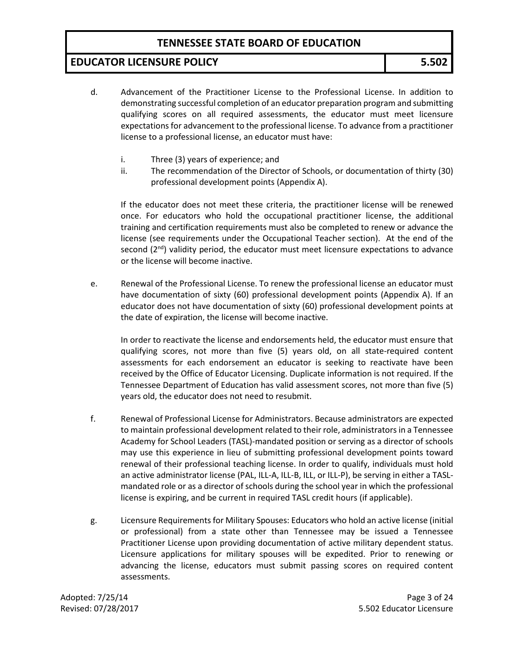### **EDUCATOR LICENSURE POLICY 5.502**

- d. Advancement of the Practitioner License to the Professional License. In addition to demonstrating successful completion of an educator preparation program and submitting qualifying scores on all required assessments, the educator must meet licensure expectations for advancement to the professional license. To advance from a practitioner license to a professional license, an educator must have:
	- i. Three (3) years of experience; and
	- ii. The recommendation of the Director of Schools, or documentation of thirty (30) professional development points (Appendix A).

If the educator does not meet these criteria, the practitioner license will be renewed once. For educators who hold the occupational practitioner license, the additional training and certification requirements must also be completed to renew or advance the license (see requirements under the Occupational Teacher section). At the end of the second  $(2^{nd})$  validity period, the educator must meet licensure expectations to advance or the license will become inactive.

e. Renewal of the Professional License. To renew the professional license an educator must have documentation of sixty (60) professional development points (Appendix A). If an educator does not have documentation of sixty (60) professional development points at the date of expiration, the license will become inactive.

In order to reactivate the license and endorsements held, the educator must ensure that qualifying scores, not more than five (5) years old, on all state-required content assessments for each endorsement an educator is seeking to reactivate have been received by the Office of Educator Licensing. Duplicate information is not required. If the Tennessee Department of Education has valid assessment scores, not more than five (5) years old, the educator does not need to resubmit.

- f. Renewal of Professional License for Administrators. Because administrators are expected to maintain professional development related to their role, administrators in a Tennessee Academy for School Leaders (TASL)-mandated position or serving as a director of schools may use this experience in lieu of submitting professional development points toward renewal of their professional teaching license. In order to qualify, individuals must hold an active administrator license (PAL, ILL-A, ILL-B, ILL, or ILL-P), be serving in either a TASLmandated role or as a director of schools during the school year in which the professional license is expiring, and be current in required TASL credit hours (if applicable).
- g. Licensure Requirements for Military Spouses: Educators who hold an active license (initial or professional) from a state other than Tennessee may be issued a Tennessee Practitioner License upon providing documentation of active military dependent status. Licensure applications for military spouses will be expedited. Prior to renewing or advancing the license, educators must submit passing scores on required content assessments.

Adopted: 7/25/14 Page 3 of 24 Revised: 07/28/2017 5.502 Educator Licensure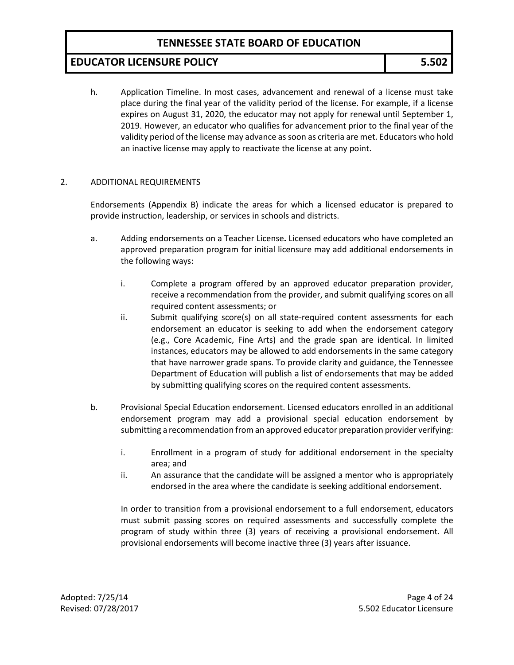## **EDUCATOR LICENSURE POLICY 5.502**

h. Application Timeline. In most cases, advancement and renewal of a license must take place during the final year of the validity period of the license. For example, if a license expires on August 31, 2020, the educator may not apply for renewal until September 1, 2019. However, an educator who qualifies for advancement prior to the final year of the validity period of the license may advance as soon as criteria are met. Educators who hold an inactive license may apply to reactivate the license at any point.

#### 2. ADDITIONAL REQUIREMENTS

Endorsements (Appendix B) indicate the areas for which a licensed educator is prepared to provide instruction, leadership, or services in schools and districts.

- a. Adding endorsements on a Teacher License**.** Licensed educators who have completed an approved preparation program for initial licensure may add additional endorsements in the following ways:
	- i. Complete a program offered by an approved educator preparation provider, receive a recommendation from the provider, and submit qualifying scores on all required content assessments; or
	- ii. Submit qualifying score(s) on all state-required content assessments for each endorsement an educator is seeking to add when the endorsement category (e.g., Core Academic, Fine Arts) and the grade span are identical. In limited instances, educators may be allowed to add endorsements in the same category that have narrower grade spans. To provide clarity and guidance, the Tennessee Department of Education will publish a list of endorsements that may be added by submitting qualifying scores on the required content assessments.
- b. Provisional Special Education endorsement. Licensed educators enrolled in an additional endorsement program may add a provisional special education endorsement by submitting a recommendation from an approved educator preparation provider verifying:
	- i. Enrollment in a program of study for additional endorsement in the specialty area; and
	- ii. An assurance that the candidate will be assigned a mentor who is appropriately endorsed in the area where the candidate is seeking additional endorsement.

In order to transition from a provisional endorsement to a full endorsement, educators must submit passing scores on required assessments and successfully complete the program of study within three (3) years of receiving a provisional endorsement. All provisional endorsements will become inactive three (3) years after issuance.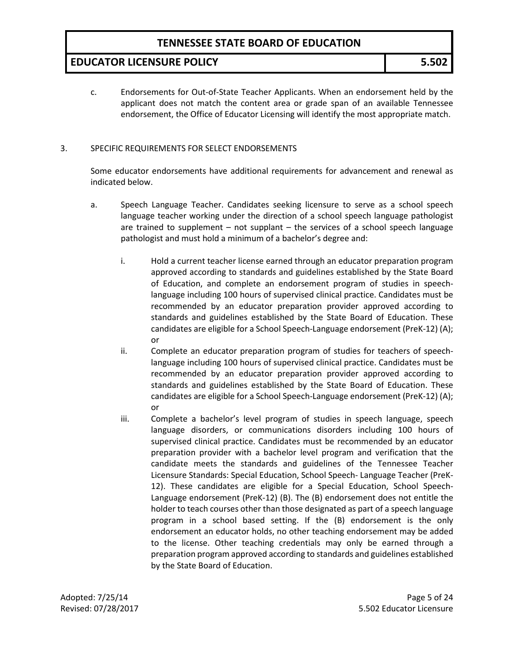### **EDUCATOR LICENSURE POLICY 5.502**

c. Endorsements for Out-of-State Teacher Applicants. When an endorsement held by the applicant does not match the content area or grade span of an available Tennessee endorsement, the Office of Educator Licensing will identify the most appropriate match.

#### 3. SPECIFIC REQUIREMENTS FOR SELECT ENDORSEMENTS

Some educator endorsements have additional requirements for advancement and renewal as indicated below.

- a. Speech Language Teacher. Candidates seeking licensure to serve as a school speech language teacher working under the direction of a school speech language pathologist are trained to supplement – not supplant – the services of a school speech language pathologist and must hold a minimum of a bachelor's degree and:
	- i. Hold a current teacher license earned through an educator preparation program approved according to standards and guidelines established by the State Board of Education, and complete an endorsement program of studies in speechlanguage including 100 hours of supervised clinical practice. Candidates must be recommended by an educator preparation provider approved according to standards and guidelines established by the State Board of Education. These candidates are eligible for a School Speech-Language endorsement (PreK-12) (A); or
	- ii. Complete an educator preparation program of studies for teachers of speechlanguage including 100 hours of supervised clinical practice. Candidates must be recommended by an educator preparation provider approved according to standards and guidelines established by the State Board of Education. These candidates are eligible for a School Speech-Language endorsement (PreK-12) (A); or
	- iii. Complete a bachelor's level program of studies in speech language, speech language disorders, or communications disorders including 100 hours of supervised clinical practice. Candidates must be recommended by an educator preparation provider with a bachelor level program and verification that the candidate meets the standards and guidelines of the Tennessee Teacher Licensure Standards: Special Education, School Speech- Language Teacher (PreK-12). These candidates are eligible for a Special Education, School Speech-Language endorsement (PreK-12) (B). The (B) endorsement does not entitle the holder to teach courses other than those designated as part of a speech language program in a school based setting. If the (B) endorsement is the only endorsement an educator holds, no other teaching endorsement may be added to the license. Other teaching credentials may only be earned through a preparation program approved according to standards and guidelines established by the State Board of Education.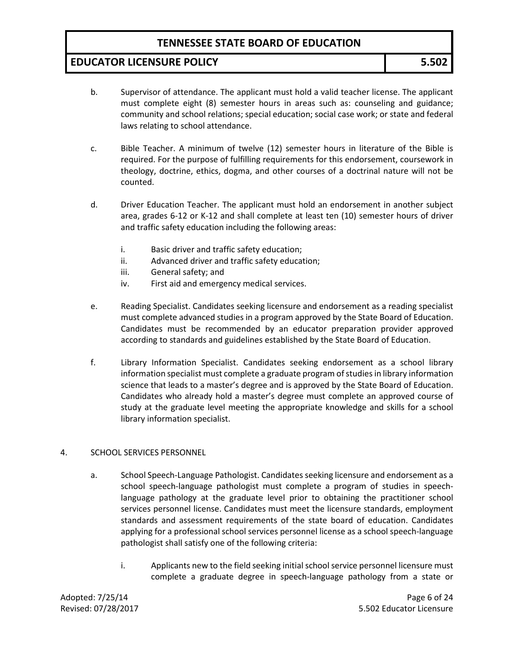## **EDUCATOR LICENSURE POLICY 5.502**

- b. Supervisor of attendance. The applicant must hold a valid teacher license. The applicant must complete eight (8) semester hours in areas such as: counseling and guidance; community and school relations; special education; social case work; or state and federal laws relating to school attendance.
- c. Bible Teacher. A minimum of twelve (12) semester hours in literature of the Bible is required. For the purpose of fulfilling requirements for this endorsement, coursework in theology, doctrine, ethics, dogma, and other courses of a doctrinal nature will not be counted.
- d. Driver Education Teacher. The applicant must hold an endorsement in another subject area, grades 6-12 or K-12 and shall complete at least ten (10) semester hours of driver and traffic safety education including the following areas:
	- i. Basic driver and traffic safety education;
	- ii. Advanced driver and traffic safety education;
	- iii. General safety; and
	- iv. First aid and emergency medical services.
- e. Reading Specialist. Candidates seeking licensure and endorsement as a reading specialist must complete advanced studies in a program approved by the State Board of Education. Candidates must be recommended by an educator preparation provider approved according to standards and guidelines established by the State Board of Education.
- f. Library Information Specialist. Candidates seeking endorsement as a school library information specialist must complete a graduate program of studies in library information science that leads to a master's degree and is approved by the State Board of Education. Candidates who already hold a master's degree must complete an approved course of study at the graduate level meeting the appropriate knowledge and skills for a school library information specialist.

#### 4. SCHOOL SERVICES PERSONNEL

- a. School Speech-Language Pathologist. Candidates seeking licensure and endorsement as a school speech-language pathologist must complete a program of studies in speechlanguage pathology at the graduate level prior to obtaining the practitioner school services personnel license. Candidates must meet the licensure standards, employment standards and assessment requirements of the state board of education. Candidates applying for a professional school services personnel license as a school speech-language pathologist shall satisfy one of the following criteria:
	- i. Applicants new to the field seeking initial school service personnel licensure must complete a graduate degree in speech-language pathology from a state or

Adopted: 7/25/14 Page 6 of 24 Revised: 07/28/2017 5.502 Educator Licensure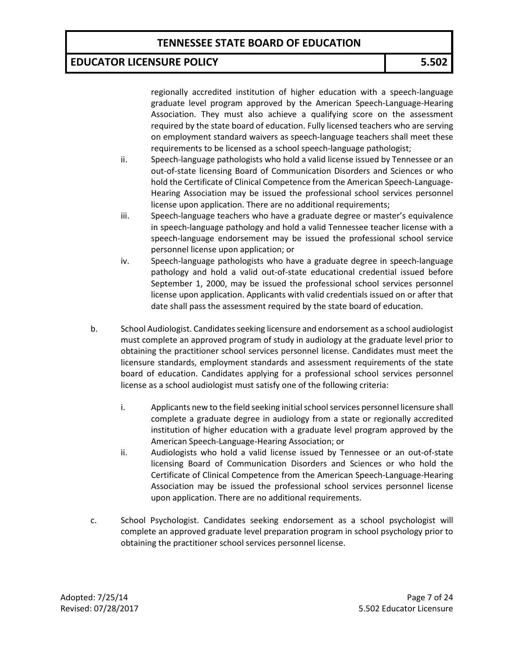#### **EDUCATOR LICENSURE POLICY 5.502**

regionally accredited institution of higher education with a speech-language graduate level program approved by the American Speech-Language-Hearing Association. They must also achieve a qualifying score on the assessment required by the state board of education. Fully licensed teachers who are serving on employment standard waivers as speech-language teachers shall meet these requirements to be licensed as a school speech-language pathologist;

- ii. Speech-language pathologists who hold a valid license issued by Tennessee or an out-of-state licensing Board of Communication Disorders and Sciences or who hold the Certificate of Clinical Competence from the American Speech-Language-Hearing Association may be issued the professional school services personnel license upon application. There are no additional requirements;
- iii. Speech-language teachers who have a graduate degree or master's equivalence in speech-language pathology and hold a valid Tennessee teacher license with a speech-language endorsement may be issued the professional school service personnel license upon application; or
- iv. Speech-language pathologists who have a graduate degree in speech-language pathology and hold a valid out-of-state educational credential issued before September 1, 2000, may be issued the professional school services personnel license upon application. Applicants with valid credentials issued on or after that date shall pass the assessment required by the state board of education.
- b. School Audiologist. Candidates seeking licensure and endorsement as a school audiologist must complete an approved program of study in audiology at the graduate level prior to obtaining the practitioner school services personnel license. Candidates must meet the licensure standards, employment standards and assessment requirements of the state board of education. Candidates applying for a professional school services personnel license as a school audiologist must satisfy one of the following criteria:
	- i. Applicants new to the field seeking initial school services personnel licensure shall complete a graduate degree in audiology from a state or regionally accredited institution of higher education with a graduate level program approved by the American Speech-Language-Hearing Association; or
	- ii. Audiologists who hold a valid license issued by Tennessee or an out-of-state licensing Board of Communication Disorders and Sciences or who hold the Certificate of Clinical Competence from the American Speech-Language-Hearing Association may be issued the professional school services personnel license upon application. There are no additional requirements.
- c. School Psychologist. Candidates seeking endorsement as a school psychologist will complete an approved graduate level preparation program in school psychology prior to obtaining the practitioner school services personnel license.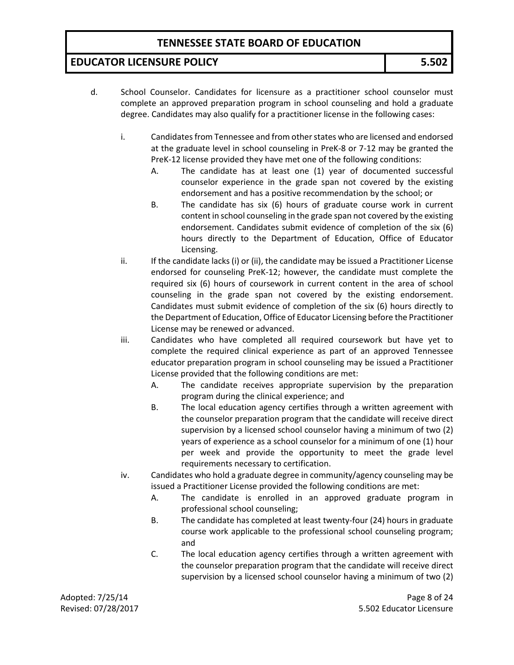#### **EDUCATOR LICENSURE POLICY 5.502**

- d. School Counselor. Candidates for licensure as a practitioner school counselor must complete an approved preparation program in school counseling and hold a graduate degree. Candidates may also qualify for a practitioner license in the following cases:
	- i. Candidates from Tennessee and from other states who are licensed and endorsed at the graduate level in school counseling in PreK-8 or 7-12 may be granted the PreK-12 license provided they have met one of the following conditions:
		- A. The candidate has at least one (1) year of documented successful counselor experience in the grade span not covered by the existing endorsement and has a positive recommendation by the school; or
		- B. The candidate has six (6) hours of graduate course work in current content in school counseling in the grade span not covered by the existing endorsement. Candidates submit evidence of completion of the six (6) hours directly to the Department of Education, Office of Educator Licensing.
	- ii. If the candidate lacks (i) or (ii), the candidate may be issued a Practitioner License endorsed for counseling PreK-12; however, the candidate must complete the required six (6) hours of coursework in current content in the area of school counseling in the grade span not covered by the existing endorsement. Candidates must submit evidence of completion of the six (6) hours directly to the Department of Education, Office of Educator Licensing before the Practitioner License may be renewed or advanced.
	- iii. Candidates who have completed all required coursework but have yet to complete the required clinical experience as part of an approved Tennessee educator preparation program in school counseling may be issued a Practitioner License provided that the following conditions are met:
		- A. The candidate receives appropriate supervision by the preparation program during the clinical experience; and
		- B. The local education agency certifies through a written agreement with the counselor preparation program that the candidate will receive direct supervision by a licensed school counselor having a minimum of two (2) years of experience as a school counselor for a minimum of one (1) hour per week and provide the opportunity to meet the grade level requirements necessary to certification.
	- iv. Candidates who hold a graduate degree in community/agency counseling may be issued a Practitioner License provided the following conditions are met:
		- A. The candidate is enrolled in an approved graduate program in professional school counseling;
		- B. The candidate has completed at least twenty-four (24) hours in graduate course work applicable to the professional school counseling program; and
		- C. The local education agency certifies through a written agreement with the counselor preparation program that the candidate will receive direct supervision by a licensed school counselor having a minimum of two (2)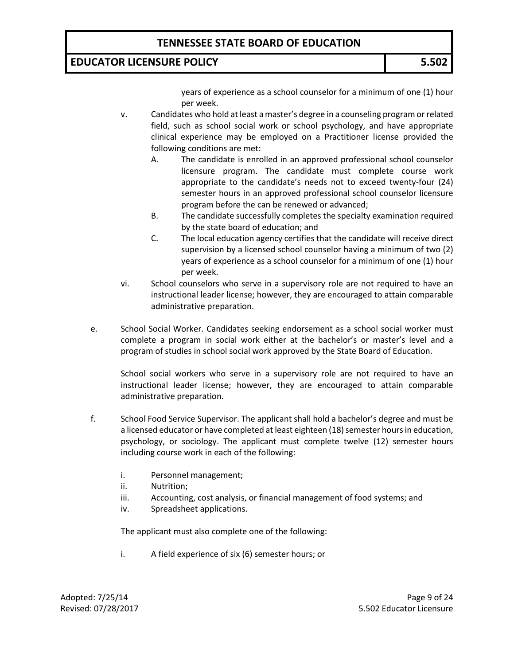#### **EDUCATOR LICENSURE POLICY 5.502**

years of experience as a school counselor for a minimum of one (1) hour per week.

- v. Candidates who hold at least a master's degree in a counseling program or related field, such as school social work or school psychology, and have appropriate clinical experience may be employed on a Practitioner license provided the following conditions are met:
	- A. The candidate is enrolled in an approved professional school counselor licensure program. The candidate must complete course work appropriate to the candidate's needs not to exceed twenty-four (24) semester hours in an approved professional school counselor licensure program before the can be renewed or advanced;
	- B. The candidate successfully completes the specialty examination required by the state board of education; and
	- C. The local education agency certifies that the candidate will receive direct supervision by a licensed school counselor having a minimum of two (2) years of experience as a school counselor for a minimum of one (1) hour per week.
- vi. School counselors who serve in a supervisory role are not required to have an instructional leader license; however, they are encouraged to attain comparable administrative preparation.
- e. School Social Worker. Candidates seeking endorsement as a school social worker must complete a program in social work either at the bachelor's or master's level and a program of studies in school social work approved by the State Board of Education.

School social workers who serve in a supervisory role are not required to have an instructional leader license; however, they are encouraged to attain comparable administrative preparation.

- f. School Food Service Supervisor. The applicant shall hold a bachelor's degree and must be a licensed educator or have completed at least eighteen (18) semester hours in education, psychology, or sociology. The applicant must complete twelve (12) semester hours including course work in each of the following:
	- i. Personnel management;
	- ii. Nutrition;
	- iii. Accounting, cost analysis, or financial management of food systems; and
	- iv. Spreadsheet applications.

The applicant must also complete one of the following:

i. A field experience of six (6) semester hours; or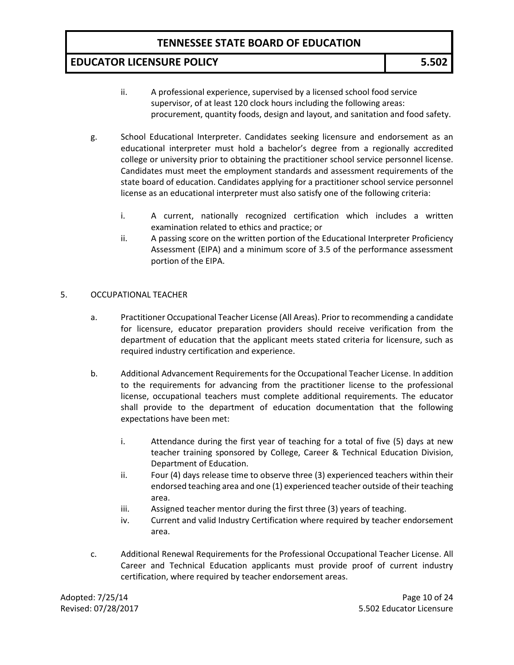#### **EDUCATOR LICENSURE POLICY 5.502**

- ii. A professional experience, supervised by a licensed school food service supervisor, of at least 120 clock hours including the following areas: procurement, quantity foods, design and layout, and sanitation and food safety.
- g. School Educational Interpreter. Candidates seeking licensure and endorsement as an educational interpreter must hold a bachelor's degree from a regionally accredited college or university prior to obtaining the practitioner school service personnel license. Candidates must meet the employment standards and assessment requirements of the state board of education. Candidates applying for a practitioner school service personnel license as an educational interpreter must also satisfy one of the following criteria:
	- i. A current, nationally recognized certification which includes a written examination related to ethics and practice; or
	- ii. A passing score on the written portion of the Educational Interpreter Proficiency Assessment (EIPA) and a minimum score of 3.5 of the performance assessment portion of the EIPA.

#### 5. OCCUPATIONAL TEACHER

- a. Practitioner Occupational Teacher License (All Areas). Prior to recommending a candidate for licensure, educator preparation providers should receive verification from the department of education that the applicant meets stated criteria for licensure, such as required industry certification and experience.
- b. Additional Advancement Requirements for the Occupational Teacher License. In addition to the requirements for advancing from the practitioner license to the professional license, occupational teachers must complete additional requirements. The educator shall provide to the department of education documentation that the following expectations have been met:
	- i. Attendance during the first year of teaching for a total of five (5) days at new teacher training sponsored by College, Career & Technical Education Division, Department of Education.
	- ii. Four (4) days release time to observe three (3) experienced teachers within their endorsed teaching area and one (1) experienced teacher outside of their teaching area.
	- iii. Assigned teacher mentor during the first three (3) years of teaching.
	- iv. Current and valid Industry Certification where required by teacher endorsement area.
- c. Additional Renewal Requirements for the Professional Occupational Teacher License. All Career and Technical Education applicants must provide proof of current industry certification, where required by teacher endorsement areas.

Adopted: 7/25/14 **Page 10 of 24** Revised: 07/28/2017 5.502 Educator Licensure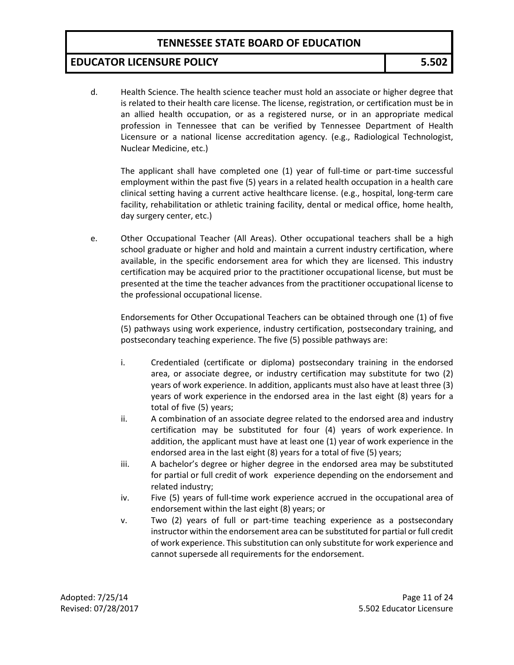#### **EDUCATOR LICENSURE POLICY 5.502**

d. Health Science. The health science teacher must hold an associate or higher degree that is related to their health care license. The license, registration, or certification must be in an allied health occupation, or as a registered nurse, or in an appropriate medical profession in Tennessee that can be verified by Tennessee Department of Health Licensure or a national license accreditation agency. (e.g., Radiological Technologist, Nuclear Medicine, etc.)

The applicant shall have completed one (1) year of full-time or part-time successful employment within the past five (5) years in a related health occupation in a health care clinical setting having a current active healthcare license. (e.g., hospital, long-term care facility, rehabilitation or athletic training facility, dental or medical office, home health, day surgery center, etc.)

e. Other Occupational Teacher (All Areas). Other occupational teachers shall be a high school graduate or higher and hold and maintain a current industry certification, where available, in the specific endorsement area for which they are licensed. This industry certification may be acquired prior to the practitioner occupational license, but must be presented at the time the teacher advances from the practitioner occupational license to the professional occupational license.

Endorsements for Other Occupational Teachers can be obtained through one (1) of five (5) pathways using work experience, industry certification, postsecondary training, and postsecondary teaching experience. The five (5) possible pathways are:

- i. Credentialed (certificate or diploma) postsecondary training in the endorsed area, or associate degree, or industry certification may substitute for two (2) years of work experience. In addition, applicants must also have at least three (3) years of work experience in the endorsed area in the last eight (8) years for a total of five (5) years;
- ii. A combination of an associate degree related to the endorsed area and industry certification may be substituted for four (4) years of work experience. In addition, the applicant must have at least one (1) year of work experience in the endorsed area in the last eight (8) years for a total of five (5) years;
- iii. A bachelor's degree or higher degree in the endorsed area may be substituted for partial or full credit of work experience depending on the endorsement and related industry;
- iv. Five (5) years of full-time work experience accrued in the occupational area of endorsement within the last eight (8) years; or
- v. Two (2) years of full or part-time teaching experience as a postsecondary instructor within the endorsement area can be substituted for partial or full credit of work experience. This substitution can only substitute for work experience and cannot supersede all requirements for the endorsement.

Adopted: 7/25/14 **Page 11 of 24** Revised: 07/28/2017 5.502 Educator Licensure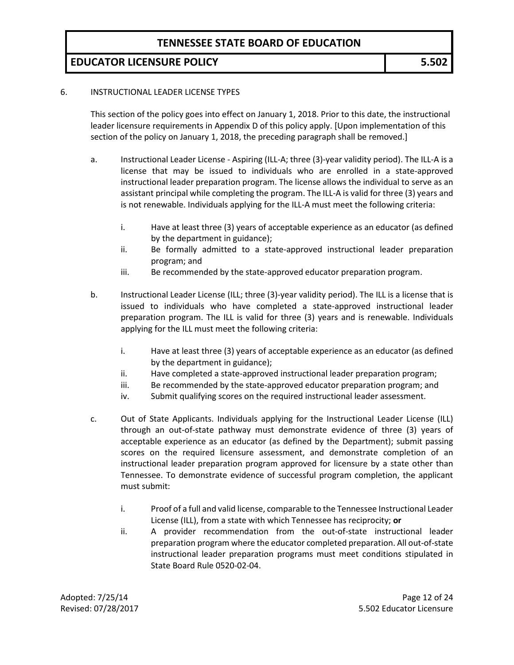## **EDUCATOR LICENSURE POLICY 5.502**

#### 6. INSTRUCTIONAL LEADER LICENSE TYPES

This section of the policy goes into effect on January 1, 2018. Prior to this date, the instructional leader licensure requirements in Appendix D of this policy apply. [Upon implementation of this section of the policy on January 1, 2018, the preceding paragraph shall be removed.]

- a. Instructional Leader License Aspiring (ILL-A; three (3)-year validity period). The ILL-A is a license that may be issued to individuals who are enrolled in a state-approved instructional leader preparation program. The license allows the individual to serve as an assistant principal while completing the program. The ILL-A is valid for three (3) years and is not renewable. Individuals applying for the ILL-A must meet the following criteria:
	- i. Have at least three (3) years of acceptable experience as an educator (as defined by the department in guidance);
	- ii. Be formally admitted to a state-approved instructional leader preparation program; and
	- iii. Be recommended by the state-approved educator preparation program.
- b. Instructional Leader License (ILL; three (3)-year validity period). The ILL is a license that is issued to individuals who have completed a state-approved instructional leader preparation program. The ILL is valid for three (3) years and is renewable. Individuals applying for the ILL must meet the following criteria:
	- i. Have at least three (3) years of acceptable experience as an educator (as defined by the department in guidance);
	- ii. Have completed a state-approved instructional leader preparation program;
	- iii. Be recommended by the state-approved educator preparation program; and
	- iv. Submit qualifying scores on the required instructional leader assessment.
- c. Out of State Applicants. Individuals applying for the Instructional Leader License (ILL) through an out-of-state pathway must demonstrate evidence of three (3) years of acceptable experience as an educator (as defined by the Department); submit passing scores on the required licensure assessment, and demonstrate completion of an instructional leader preparation program approved for licensure by a state other than Tennessee. To demonstrate evidence of successful program completion, the applicant must submit:
	- i. Proof of a full and valid license, comparable to the Tennessee Instructional Leader License (ILL), from a state with which Tennessee has reciprocity; **or**
	- ii. A provider recommendation from the out-of-state instructional leader preparation program where the educator completed preparation. All out-of-state instructional leader preparation programs must meet conditions stipulated in State Board Rule 0520-02-04.

Adopted: 7/25/14 **Page 12 of 24** Revised: 07/28/2017 5.502 Educator Licensure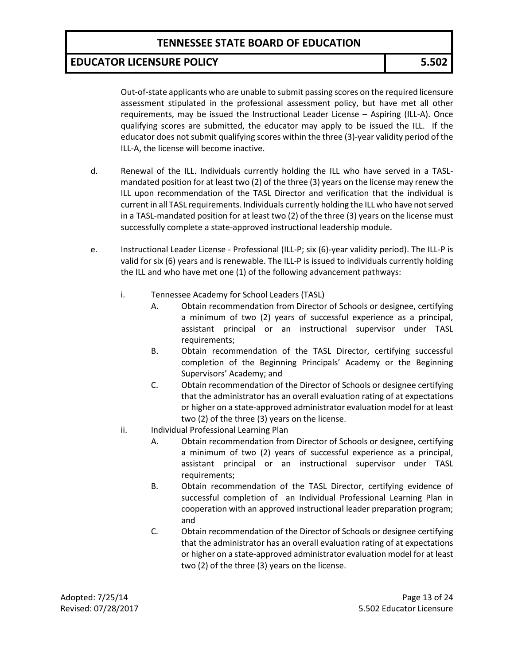# **EDUCATOR LICENSURE POLICY 5.502**

Out-of-state applicants who are unable to submit passing scores on the required licensure assessment stipulated in the professional assessment policy, but have met all other requirements, may be issued the Instructional Leader License – Aspiring (ILL-A). Once qualifying scores are submitted, the educator may apply to be issued the ILL. If the educator does not submit qualifying scores within the three (3)-year validity period of the ILL-A, the license will become inactive.

- d. Renewal of the ILL. Individuals currently holding the ILL who have served in a TASLmandated position for at least two (2) of the three (3) years on the license may renew the ILL upon recommendation of the TASL Director and verification that the individual is current in all TASL requirements. Individuals currently holding the ILL who have not served in a TASL-mandated position for at least two (2) of the three (3) years on the license must successfully complete a state-approved instructional leadership module.
- e. Instructional Leader License Professional (ILL-P; six (6)-year validity period). The ILL-P is valid for six (6) years and is renewable. The ILL-P is issued to individuals currently holding the ILL and who have met one (1) of the following advancement pathways:
	- i. Tennessee Academy for School Leaders (TASL)
		- A. Obtain recommendation from Director of Schools or designee, certifying a minimum of two (2) years of successful experience as a principal, assistant principal or an instructional supervisor under TASL requirements;
		- B. Obtain recommendation of the TASL Director, certifying successful completion of the Beginning Principals' Academy or the Beginning Supervisors' Academy; and
		- C. Obtain recommendation of the Director of Schools or designee certifying that the administrator has an overall evaluation rating of at expectations or higher on a state-approved administrator evaluation model for at least two (2) of the three (3) years on the license.
	- ii. Individual Professional Learning Plan
		- A. Obtain recommendation from Director of Schools or designee, certifying a minimum of two (2) years of successful experience as a principal, assistant principal or an instructional supervisor under TASL requirements;
		- B. Obtain recommendation of the TASL Director, certifying evidence of successful completion of an Individual Professional Learning Plan in cooperation with an approved instructional leader preparation program; and
		- C. Obtain recommendation of the Director of Schools or designee certifying that the administrator has an overall evaluation rating of at expectations or higher on a state-approved administrator evaluation model for at least two (2) of the three (3) years on the license.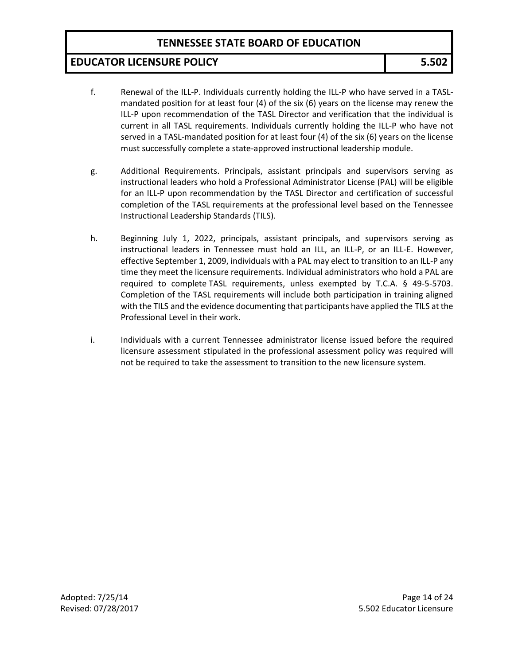### **EDUCATOR LICENSURE POLICY 5.502**

- f. Renewal of the ILL-P. Individuals currently holding the ILL-P who have served in a TASLmandated position for at least four (4) of the six (6) years on the license may renew the ILL-P upon recommendation of the TASL Director and verification that the individual is current in all TASL requirements. Individuals currently holding the ILL-P who have not served in a TASL-mandated position for at least four (4) of the six (6) years on the license must successfully complete a state-approved instructional leadership module.
- g. Additional Requirements. Principals, assistant principals and supervisors serving as instructional leaders who hold a Professional Administrator License (PAL) will be eligible for an ILL-P upon recommendation by the TASL Director and certification of successful completion of the TASL requirements at the professional level based on the Tennessee Instructional Leadership Standards (TILS).
- h. Beginning July 1, 2022, principals, assistant principals, and supervisors serving as instructional leaders in Tennessee must hold an ILL, an ILL-P, or an ILL-E. However, effective September 1, 2009, individuals with a PAL may elect to transition to an ILL-P any time they meet the licensure requirements. Individual administrators who hold a PAL are required to complete TASL requirements, unless exempted by T.C.A. § 49-5-5703. Completion of the TASL requirements will include both participation in training aligned with the TILS and the evidence documenting that participants have applied the TILS at the Professional Level in their work.
- i. Individuals with a current Tennessee administrator license issued before the required licensure assessment stipulated in the professional assessment policy was required will not be required to take the assessment to transition to the new licensure system.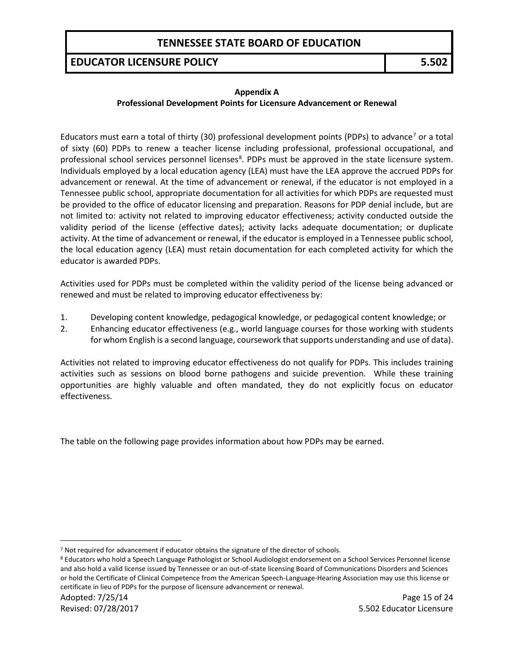## **EDUCATOR LICENSURE POLICY 5.502**

#### **Appendix A**

#### **Professional Development Points for Licensure Advancement or Renewal**

Educators must earn a total of thirty (30) professional development points (PDPs) to advance<sup>[7](#page-14-0)</sup> or a total of sixty (60) PDPs to renew a teacher license including professional, professional occupational, and professional school services personnel licenses<sup>[8](#page-14-1)</sup>. PDPs must be approved in the state licensure system. Individuals employed by a local education agency (LEA) must have the LEA approve the accrued PDPs for advancement or renewal. At the time of advancement or renewal, if the educator is not employed in a Tennessee public school, appropriate documentation for all activities for which PDPs are requested must be provided to the office of educator licensing and preparation. Reasons for PDP denial include, but are not limited to: activity not related to improving educator effectiveness; activity conducted outside the validity period of the license (effective dates); activity lacks adequate documentation; or duplicate activity. At the time of advancement or renewal, if the educator is employed in a Tennessee public school, the local education agency (LEA) must retain documentation for each completed activity for which the educator is awarded PDPs.

Activities used for PDPs must be completed within the validity period of the license being advanced or renewed and must be related to improving educator effectiveness by:

- 1. Developing content knowledge, pedagogical knowledge, or pedagogical content knowledge; or
- 2. Enhancing educator effectiveness (e.g., world language courses for those working with students for whom English is a second language, coursework that supports understanding and use of data).

Activities not related to improving educator effectiveness do not qualify for PDPs. This includes training activities such as sessions on blood borne pathogens and suicide prevention. While these training opportunities are highly valuable and often mandated, they do not explicitly focus on educator effectiveness.

The table on the following page provides information about how PDPs may be earned.

 $\overline{a}$ 

<span id="page-14-0"></span><sup>&</sup>lt;sup>7</sup> Not required for advancement if educator obtains the signature of the director of schools.

<span id="page-14-1"></span><sup>8</sup> Educators who hold a Speech Language Pathologist or School Audiologist endorsement on a School Services Personnel license and also hold a valid license issued by Tennessee or an out-of-state licensing Board of Communications Disorders and Sciences or hold the Certificate of Clinical Competence from the American Speech-Language-Hearing Association may use this license or certificate in lieu of PDPs for the purpose of licensure advancement or renewal.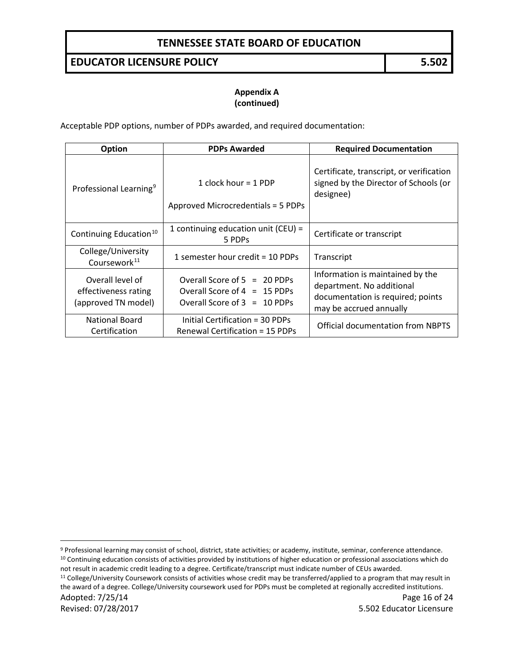#### **EDUCATOR LICENSURE POLICY 5.502**

#### **Appendix A (continued)**

Acceptable PDP options, number of PDPs awarded, and required documentation:

| <b>Option</b>                                                   | <b>PDPs Awarded</b>                                                                                | <b>Required Documentation</b>                                                                                                 |  |
|-----------------------------------------------------------------|----------------------------------------------------------------------------------------------------|-------------------------------------------------------------------------------------------------------------------------------|--|
| Professional Learning <sup>9</sup>                              | 1 clock hour = 1 PDP<br>Approved Microcredentials = 5 PDPs                                         | Certificate, transcript, or verification<br>signed by the Director of Schools (or<br>designee)                                |  |
| Continuing Education <sup>10</sup>                              | 1 continuing education unit (CEU) =<br>5 PDPs                                                      | Certificate or transcript                                                                                                     |  |
| College/University<br>Coursework <sup>11</sup>                  | 1 semester hour credit = 10 PDPs                                                                   | Transcript                                                                                                                    |  |
| Overall level of<br>effectiveness rating<br>(approved TN model) | Overall Score of $5 = 20$ PDPs<br>Overall Score of $4 = 15$ PDPs<br>Overall Score of $3 = 10$ PDPs | Information is maintained by the<br>department. No additional<br>documentation is required; points<br>may be accrued annually |  |
| <b>National Board</b><br>Certification                          | Initial Certification = 30 PDPs<br><b>Renewal Certification = 15 PDPs</b>                          | <b>Official documentation from NBPTS</b>                                                                                      |  |

<span id="page-15-1"></span><span id="page-15-0"></span>9 Professional learning may consist of school, district, state activities; or academy, institute, seminar, conference attendance. <sup>10</sup> Continuing education consists of activities provided by institutions of higher education or professional associations which do

not result in academic credit leading to a degree. Certificate/transcript must indicate number of CEUs awarded.

<span id="page-15-2"></span>Adopted: 7/25/14 **Page 16 of 24** <sup>11</sup> College/University Coursework consists of activities whose credit may be transferred/applied to a program that may result in the award of a degree. College/University coursework used for PDPs must be completed at regionally accredited institutions.

 $\overline{a}$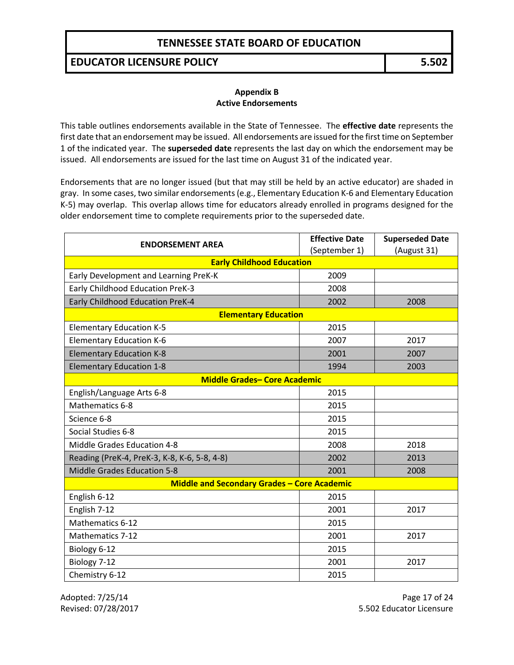#### **EDUCATOR LICENSURE POLICY 5.502**

#### **Appendix B Active Endorsements**

This table outlines endorsements available in the State of Tennessee. The **effective date** represents the first date that an endorsement may be issued. All endorsements are issued for the first time on September 1 of the indicated year. The **superseded date** represents the last day on which the endorsement may be issued. All endorsements are issued for the last time on August 31 of the indicated year.

Endorsements that are no longer issued (but that may still be held by an active educator) are shaded in gray. In some cases, two similar endorsements (e.g., Elementary Education K-6 and Elementary Education K-5) may overlap. This overlap allows time for educators already enrolled in programs designed for the older endorsement time to complete requirements prior to the superseded date.

| <b>ENDORSEMENT AREA</b>                                          | <b>Effective Date</b> | <b>Superseded Date</b> |  |
|------------------------------------------------------------------|-----------------------|------------------------|--|
| (September 1)<br>(August 31)<br><b>Early Childhood Education</b> |                       |                        |  |
| Early Development and Learning PreK-K                            | 2009                  |                        |  |
| Early Childhood Education PreK-3                                 | 2008                  |                        |  |
| Early Childhood Education PreK-4                                 | 2002                  | 2008                   |  |
| <b>Elementary Education</b>                                      |                       |                        |  |
| <b>Elementary Education K-5</b>                                  | 2015                  |                        |  |
| <b>Elementary Education K-6</b>                                  | 2007                  | 2017                   |  |
| <b>Elementary Education K-8</b>                                  | 2001                  | 2007                   |  |
| <b>Elementary Education 1-8</b>                                  | 1994                  | 2003                   |  |
| <b>Middle Grades- Core Academic</b>                              |                       |                        |  |
| English/Language Arts 6-8                                        | 2015                  |                        |  |
| Mathematics 6-8                                                  | 2015                  |                        |  |
| Science 6-8                                                      | 2015                  |                        |  |
| Social Studies 6-8                                               | 2015                  |                        |  |
| Middle Grades Education 4-8                                      | 2008                  | 2018                   |  |
| Reading (PreK-4, PreK-3, K-8, K-6, 5-8, 4-8)                     | 2002                  | 2013                   |  |
| <b>Middle Grades Education 5-8</b>                               | 2001                  | 2008                   |  |
| <b>Middle and Secondary Grades - Core Academic</b>               |                       |                        |  |
| English 6-12                                                     | 2015                  |                        |  |
| English 7-12                                                     | 2001                  | 2017                   |  |
| Mathematics 6-12                                                 | 2015                  |                        |  |
| <b>Mathematics 7-12</b>                                          | 2001                  | 2017                   |  |
| Biology 6-12                                                     | 2015                  |                        |  |
| Biology 7-12                                                     | 2001                  | 2017                   |  |
| Chemistry 6-12                                                   | 2015                  |                        |  |

Adopted: 7/25/14 **Page 17 of 24** Revised: 07/28/2017 5.502 Educator Licensure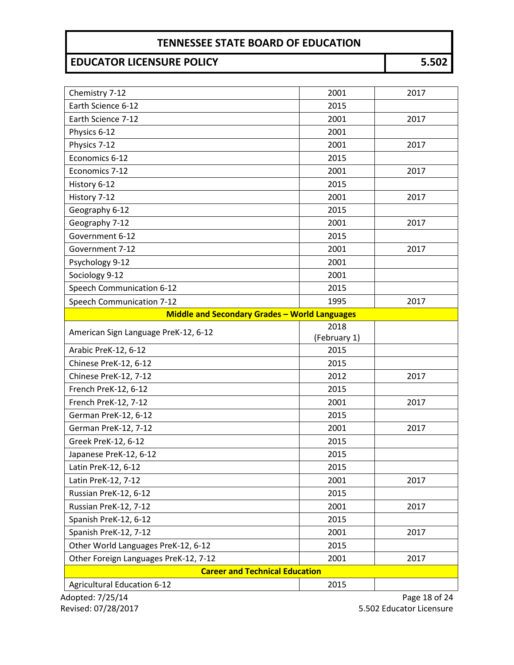# **EDUCATOR LICENSURE POLICY 5.502**

| Chemistry 7-12                        | 2001                                                 | 2017 |  |  |
|---------------------------------------|------------------------------------------------------|------|--|--|
| Earth Science 6-12                    | 2015                                                 |      |  |  |
| Earth Science 7-12                    | 2001                                                 | 2017 |  |  |
| Physics 6-12                          | 2001                                                 |      |  |  |
| Physics 7-12                          | 2001                                                 | 2017 |  |  |
| Economics 6-12                        | 2015                                                 |      |  |  |
| Economics 7-12                        | 2001                                                 | 2017 |  |  |
| History 6-12                          | 2015                                                 |      |  |  |
| History 7-12                          | 2001                                                 | 2017 |  |  |
| Geography 6-12                        | 2015                                                 |      |  |  |
| Geography 7-12                        | 2001                                                 | 2017 |  |  |
| Government 6-12                       | 2015                                                 |      |  |  |
| Government 7-12                       | 2001                                                 | 2017 |  |  |
| Psychology 9-12                       | 2001                                                 |      |  |  |
| Sociology 9-12                        | 2001                                                 |      |  |  |
| Speech Communication 6-12             | 2015                                                 |      |  |  |
| Speech Communication 7-12             | 1995                                                 | 2017 |  |  |
|                                       | <b>Middle and Secondary Grades - World Languages</b> |      |  |  |
| American Sign Language PreK-12, 6-12  | 2018                                                 |      |  |  |
|                                       | (February 1)                                         |      |  |  |
| Arabic PreK-12, 6-12                  | 2015                                                 |      |  |  |
| Chinese PreK-12, 6-12                 | 2015                                                 |      |  |  |
| Chinese PreK-12, 7-12                 | 2012                                                 | 2017 |  |  |
| French PreK-12, 6-12                  | 2015                                                 |      |  |  |
| French PreK-12, 7-12                  | 2001                                                 | 2017 |  |  |
| German PreK-12, 6-12                  | 2015                                                 |      |  |  |
| German PreK-12, 7-12                  | 2001                                                 | 2017 |  |  |
| Greek PreK-12, 6-12                   | 2015                                                 |      |  |  |
| Japanese PreK-12, 6-12                | 2015                                                 |      |  |  |
| Latin PreK-12, 6-12                   | 2015                                                 |      |  |  |
| Latin PreK-12, 7-12                   | 2001                                                 | 2017 |  |  |
| Russian PreK-12, 6-12                 | 2015                                                 |      |  |  |
| Russian PreK-12, 7-12                 | 2001                                                 | 2017 |  |  |
| Spanish PreK-12, 6-12                 | 2015                                                 |      |  |  |
| Spanish PreK-12, 7-12                 | 2001                                                 | 2017 |  |  |
| Other World Languages PreK-12, 6-12   | 2015                                                 |      |  |  |
| Other Foreign Languages PreK-12, 7-12 | 2001                                                 | 2017 |  |  |
| <b>Career and Technical Education</b> |                                                      |      |  |  |
| <b>Agricultural Education 6-12</b>    | 2015                                                 |      |  |  |

Adopted: 7/25/14 Page 18 of 24 Revised: 07/28/2017 5.502 Educator Licensure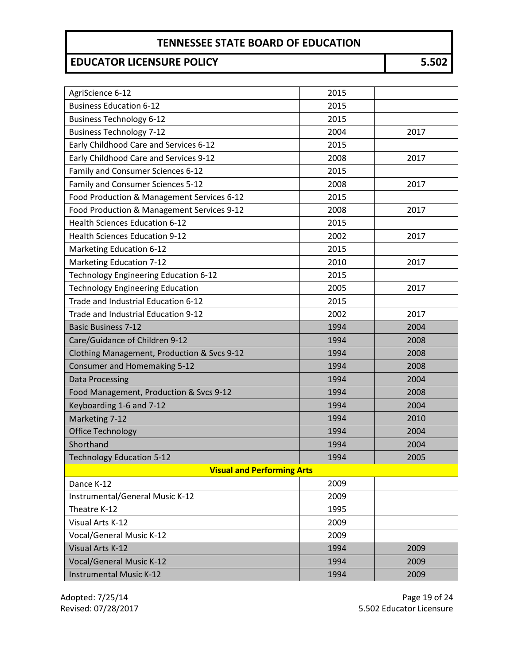# **EDUCATOR LICENSURE POLICY 5.502**

| AgriScience 6-12                            | 2015 |      |  |
|---------------------------------------------|------|------|--|
| <b>Business Education 6-12</b>              | 2015 |      |  |
| <b>Business Technology 6-12</b>             | 2015 |      |  |
| <b>Business Technology 7-12</b>             | 2004 | 2017 |  |
| Early Childhood Care and Services 6-12      | 2015 |      |  |
| Early Childhood Care and Services 9-12      | 2008 | 2017 |  |
| Family and Consumer Sciences 6-12           | 2015 |      |  |
| Family and Consumer Sciences 5-12           | 2008 | 2017 |  |
| Food Production & Management Services 6-12  | 2015 |      |  |
| Food Production & Management Services 9-12  | 2008 | 2017 |  |
| <b>Health Sciences Education 6-12</b>       | 2015 |      |  |
| <b>Health Sciences Education 9-12</b>       | 2002 | 2017 |  |
| Marketing Education 6-12                    | 2015 |      |  |
| <b>Marketing Education 7-12</b>             | 2010 | 2017 |  |
| Technology Engineering Education 6-12       | 2015 |      |  |
| <b>Technology Engineering Education</b>     | 2005 | 2017 |  |
| Trade and Industrial Education 6-12         | 2015 |      |  |
| Trade and Industrial Education 9-12         | 2002 | 2017 |  |
| <b>Basic Business 7-12</b>                  | 1994 | 2004 |  |
| Care/Guidance of Children 9-12              | 1994 | 2008 |  |
| Clothing Management, Production & Svcs 9-12 | 1994 | 2008 |  |
| Consumer and Homemaking 5-12                | 1994 | 2008 |  |
| <b>Data Processing</b>                      | 1994 | 2004 |  |
| Food Management, Production & Svcs 9-12     | 1994 | 2008 |  |
| Keyboarding 1-6 and 7-12                    | 1994 | 2004 |  |
| Marketing 7-12                              | 1994 | 2010 |  |
| <b>Office Technology</b>                    | 1994 | 2004 |  |
| Shorthand                                   | 1994 | 2004 |  |
| <b>Technology Education 5-12</b>            | 1994 | 2005 |  |
| <b>Visual and Performing Arts</b>           |      |      |  |
| Dance K-12                                  | 2009 |      |  |
| Instrumental/General Music K-12             | 2009 |      |  |
| Theatre K-12                                | 1995 |      |  |
| Visual Arts K-12                            | 2009 |      |  |
| <b>Vocal/General Music K-12</b>             | 2009 |      |  |
| Visual Arts K-12                            | 1994 | 2009 |  |
| <b>Vocal/General Music K-12</b>             | 1994 | 2009 |  |
| <b>Instrumental Music K-12</b>              | 1994 | 2009 |  |

Adopted: 7/25/14 Page 19 of 24 Revised: 07/28/2017 5.502 Educator Licensure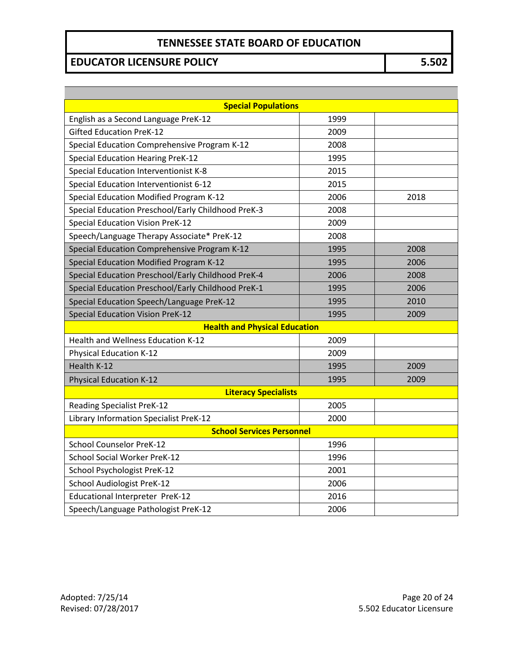# **EDUCATOR LICENSURE POLICY 5.502**

| <b>Special Populations</b>                         |      |      |  |
|----------------------------------------------------|------|------|--|
| English as a Second Language PreK-12               | 1999 |      |  |
| <b>Gifted Education PreK-12</b>                    | 2009 |      |  |
| Special Education Comprehensive Program K-12       | 2008 |      |  |
| <b>Special Education Hearing PreK-12</b>           | 1995 |      |  |
| Special Education Interventionist K-8              | 2015 |      |  |
| Special Education Interventionist 6-12             | 2015 |      |  |
| Special Education Modified Program K-12            | 2006 | 2018 |  |
| Special Education Preschool/Early Childhood PreK-3 | 2008 |      |  |
| <b>Special Education Vision PreK-12</b>            | 2009 |      |  |
| Speech/Language Therapy Associate* PreK-12         | 2008 |      |  |
| Special Education Comprehensive Program K-12       | 1995 | 2008 |  |
| Special Education Modified Program K-12            | 1995 | 2006 |  |
| Special Education Preschool/Early Childhood PreK-4 | 2006 | 2008 |  |
| Special Education Preschool/Early Childhood PreK-1 | 1995 | 2006 |  |
| Special Education Speech/Language PreK-12          | 1995 | 2010 |  |
| <b>Special Education Vision PreK-12</b>            | 1995 | 2009 |  |
| <b>Health and Physical Education</b>               |      |      |  |
| Health and Wellness Education K-12                 | 2009 |      |  |
| <b>Physical Education K-12</b>                     | 2009 |      |  |
| Health K-12                                        | 1995 | 2009 |  |
| <b>Physical Education K-12</b>                     | 1995 | 2009 |  |
| <b>Literacy Specialists</b>                        |      |      |  |
| <b>Reading Specialist PreK-12</b>                  | 2005 |      |  |
| Library Information Specialist PreK-12             | 2000 |      |  |
| <b>School Services Personnel</b>                   |      |      |  |
| <b>School Counselor PreK-12</b>                    | 1996 |      |  |
| <b>School Social Worker PreK-12</b>                | 1996 |      |  |
| School Psychologist PreK-12                        | 2001 |      |  |
| School Audiologist PreK-12                         | 2006 |      |  |
| Educational Interpreter PreK-12                    | 2016 |      |  |
| Speech/Language Pathologist PreK-12                | 2006 |      |  |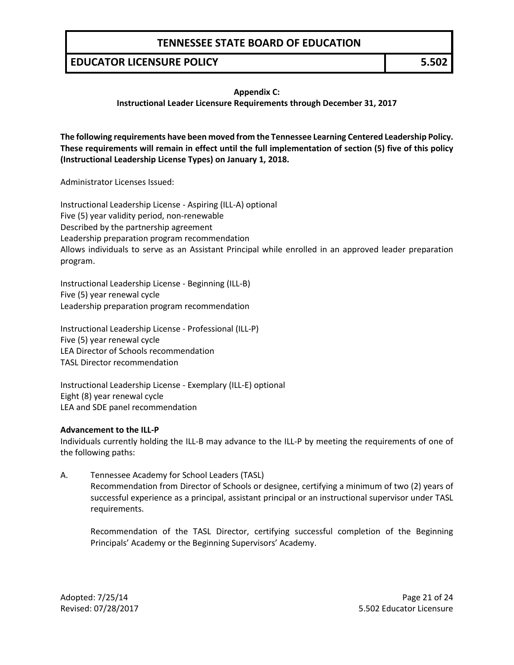#### **EDUCATOR LICENSURE POLICY 5.502**

#### **Appendix C:**

#### **Instructional Leader Licensure Requirements through December 31, 2017**

**The following requirements have been moved from the Tennessee Learning Centered Leadership Policy. These requirements will remain in effect until the full implementation of section (5) five of this policy (Instructional Leadership License Types) on January 1, 2018.** 

Administrator Licenses Issued:

Instructional Leadership License - Aspiring (ILL-A) optional Five (5) year validity period, non-renewable Described by the partnership agreement Leadership preparation program recommendation Allows individuals to serve as an Assistant Principal while enrolled in an approved leader preparation program.

Instructional Leadership License - Beginning (ILL-B) Five (5) year renewal cycle Leadership preparation program recommendation

Instructional Leadership License - Professional (ILL-P) Five (5) year renewal cycle LEA Director of Schools recommendation TASL Director recommendation

Instructional Leadership License - Exemplary (ILL-E) optional Eight (8) year renewal cycle LEA and SDE panel recommendation

#### **Advancement to the ILL-P**

Individuals currently holding the ILL-B may advance to the ILL-P by meeting the requirements of one of the following paths:

A. Tennessee Academy for School Leaders (TASL) Recommendation from Director of Schools or designee, certifying a minimum of two (2) years of successful experience as a principal, assistant principal or an instructional supervisor under TASL requirements.

Recommendation of the TASL Director, certifying successful completion of the Beginning Principals' Academy or the Beginning Supervisors' Academy.

Adopted: 7/25/14 **Page 21 of 24** Revised: 07/28/2017 5.502 Educator Licensure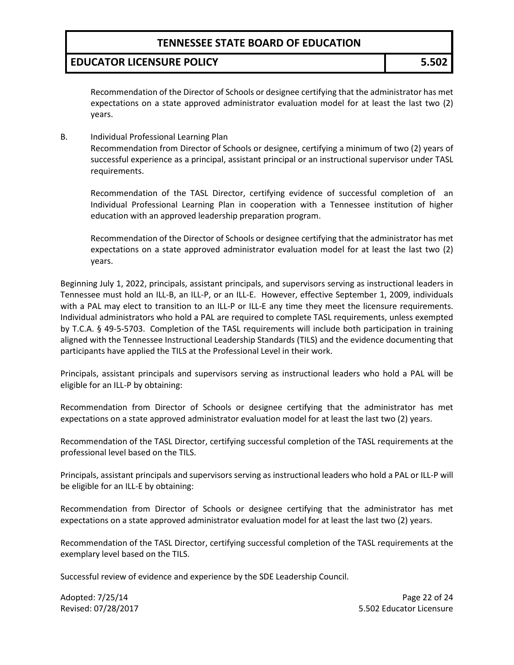### **EDUCATOR LICENSURE POLICY 5.502**

Recommendation of the Director of Schools or designee certifying that the administrator has met expectations on a state approved administrator evaluation model for at least the last two (2) years.

B. Individual Professional Learning Plan

Recommendation from Director of Schools or designee, certifying a minimum of two (2) years of successful experience as a principal, assistant principal or an instructional supervisor under TASL requirements.

Recommendation of the TASL Director, certifying evidence of successful completion of an Individual Professional Learning Plan in cooperation with a Tennessee institution of higher education with an approved leadership preparation program.

Recommendation of the Director of Schools or designee certifying that the administrator has met expectations on a state approved administrator evaluation model for at least the last two (2) years.

Beginning July 1, 2022, principals, assistant principals, and supervisors serving as instructional leaders in Tennessee must hold an ILL-B, an ILL-P, or an ILL-E. However, effective September 1, 2009, individuals with a PAL may elect to transition to an ILL-P or ILL-E any time they meet the licensure requirements. Individual administrators who hold a PAL are required to complete TASL requirements, unless exempted by T.C.A. § 49-5-5703. Completion of the TASL requirements will include both participation in training aligned with the Tennessee Instructional Leadership Standards (TILS) and the evidence documenting that participants have applied the TILS at the Professional Level in their work.

Principals, assistant principals and supervisors serving as instructional leaders who hold a PAL will be eligible for an ILL-P by obtaining:

Recommendation from Director of Schools or designee certifying that the administrator has met expectations on a state approved administrator evaluation model for at least the last two (2) years.

Recommendation of the TASL Director, certifying successful completion of the TASL requirements at the professional level based on the TILS.

Principals, assistant principals and supervisors serving as instructional leaders who hold a PAL or ILL-P will be eligible for an ILL-E by obtaining:

Recommendation from Director of Schools or designee certifying that the administrator has met expectations on a state approved administrator evaluation model for at least the last two (2) years.

Recommendation of the TASL Director, certifying successful completion of the TASL requirements at the exemplary level based on the TILS.

Successful review of evidence and experience by the SDE Leadership Council.

Adopted: 7/25/14 **Page 22 of 24** Revised: 07/28/2017 5.502 Educator Licensure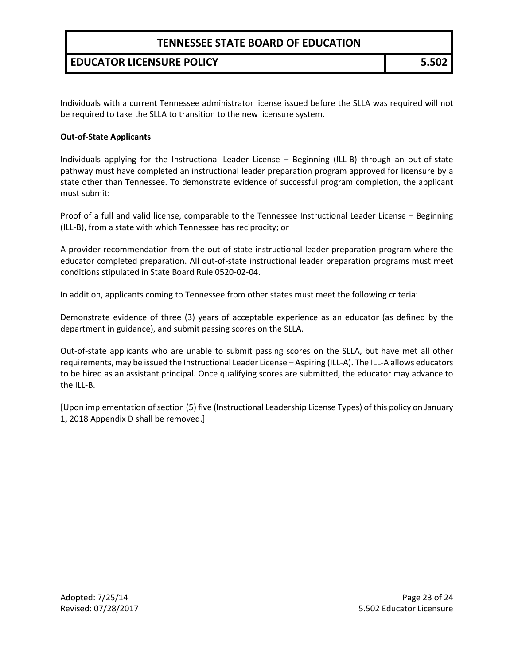## **EDUCATOR LICENSURE POLICY 5.502**

Individuals with a current Tennessee administrator license issued before the SLLA was required will not be required to take the SLLA to transition to the new licensure system**.**

#### **Out-of-State Applicants**

Individuals applying for the Instructional Leader License – Beginning (ILL-B) through an out-of-state pathway must have completed an instructional leader preparation program approved for licensure by a state other than Tennessee. To demonstrate evidence of successful program completion, the applicant must submit:

Proof of a full and valid license, comparable to the Tennessee Instructional Leader License – Beginning (ILL-B), from a state with which Tennessee has reciprocity; or

A provider recommendation from the out-of-state instructional leader preparation program where the educator completed preparation. All out-of-state instructional leader preparation programs must meet conditions stipulated in State Board Rule 0520-02-04.

In addition, applicants coming to Tennessee from other states must meet the following criteria:

Demonstrate evidence of three (3) years of acceptable experience as an educator (as defined by the department in guidance), and submit passing scores on the SLLA.

Out-of-state applicants who are unable to submit passing scores on the SLLA, but have met all other requirements, may be issued the Instructional Leader License – Aspiring (ILL-A). The ILL-A allows educators to be hired as an assistant principal. Once qualifying scores are submitted, the educator may advance to the ILL-B.

[Upon implementation of section (5) five (Instructional Leadership License Types) of this policy on January 1, 2018 Appendix D shall be removed.]

Adopted: 7/25/14 **Page 23 of 24** Revised: 07/28/2017 5.502 Educator Licensure